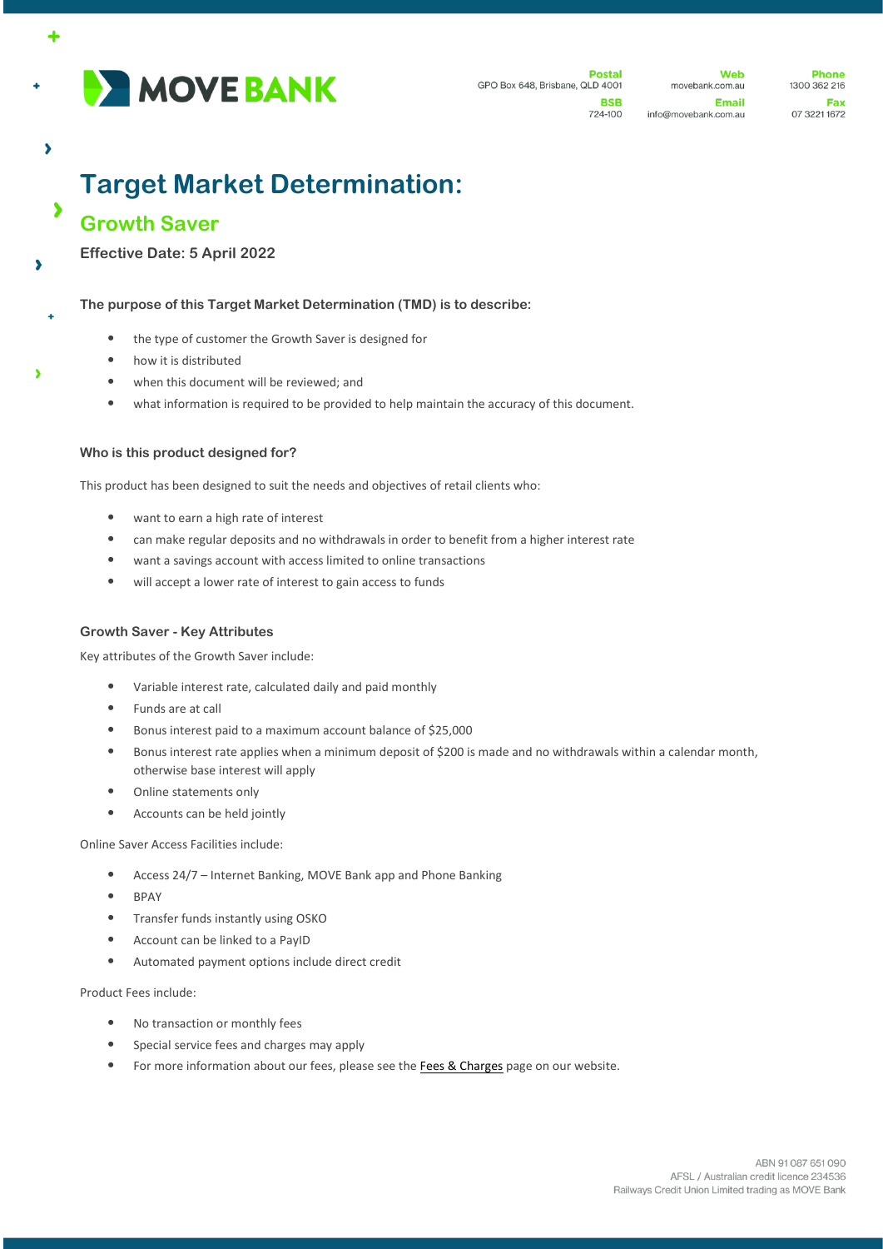

**Dostal** GPO Box 648, Brisbane, QLD 4001 **RSR** 

**Web** movebank.com.au

**Email** 

724-100 info@movebank.com.au

**Phone** 1300 362 216 Fax 07 3221 1672

# **Target Market Determination:**

# **Growth Saver**

 $\overline{\phantom{a}}$ 

 $\overline{\phantom{a}}$ 

 $\bullet$ 

Ń

**Effective Date: 5 April 2022**

# **The purpose of this Target Market Determination (TMD) is to describe:**

- the type of customer the Growth Saver is designed for
- how it is distributed
- when this document will be reviewed; and
- what information is required to be provided to help maintain the accuracy of this document.

## **Who is this product designed for?**

This product has been designed to suit the needs and objectives of retail clients who:

- want to earn a high rate of interest
- can make regular deposits and no withdrawals in order to benefit from a higher interest rate
- want a savings account with access limited to online transactions
- will accept a lower rate of interest to gain access to funds

### **Growth Saver - Key Attributes**

Key attributes of the Growth Saver include:

- Variable interest rate, calculated daily and paid monthly
- Funds are at call
- Bonus interest paid to a maximum account balance of \$25,000
- Bonus interest rate applies when a minimum deposit of \$200 is made and no withdrawals within a calendar month, otherwise base interest will apply
- Online statements only
- Accounts can be held jointly

#### Online Saver Access Facilities include:

- Access 24/7 Internet Banking, MOVE Bank app and Phone Banking
- BPAY
- Transfer funds instantly using OSKO
- Account can be linked to a PayID
- Automated payment options include direct credit

Product Fees include:

- No transaction or monthly fees
- Special service fees and charges may apply
- For more information about our fees, please see the [Fees & Charges](https://movebank.com.au/quick-links/fees-charges/) page on our website.